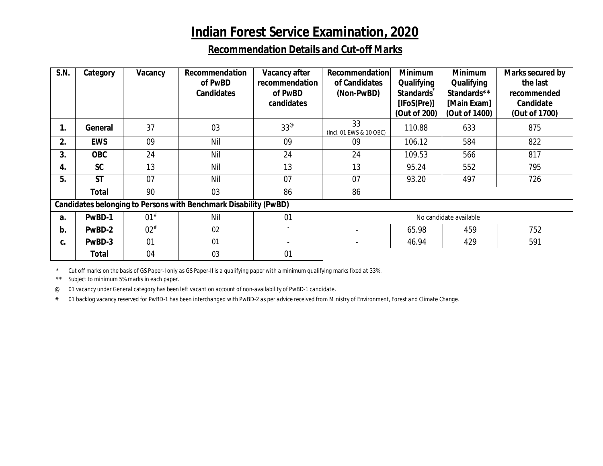## **Indian Forest Service Examination, 2020**

## **Recommendation Details and Cut-off Marks**

| <b>S.N.</b>                                                             | Category     | Vacancy  | Recommendation<br>of PwBD<br><b>Candidates</b> | Vacancy after<br>recommendation<br>of PwBD<br>candidates | <b>Recommendation</b><br>of Candidates<br>(Non-PwBD) | <b>Minimum</b><br>Qualifying<br><b>Standards</b><br>[IFoS(Pre)]<br>(Out of 200) | <b>Minimum</b><br>Qualifying<br>Standards**<br>[Main Exam]<br>(Out of 1400) | Marks secured by<br>the last<br>recommended<br>Candidate<br>(Out of 1700) |
|-------------------------------------------------------------------------|--------------|----------|------------------------------------------------|----------------------------------------------------------|------------------------------------------------------|---------------------------------------------------------------------------------|-----------------------------------------------------------------------------|---------------------------------------------------------------------------|
| 1.                                                                      | General      | 37       | 03                                             | $33^\circ$                                               | 33<br>(Incl. 01 EWS & 10 OBC)                        | 110.88                                                                          | 633                                                                         | 875                                                                       |
| 2.                                                                      | <b>EWS</b>   | 09       | Nil                                            | 09                                                       | 09                                                   | 106.12                                                                          | 584                                                                         | 822                                                                       |
| 3.                                                                      | <b>OBC</b>   | 24       | Nil                                            | 24                                                       | 24                                                   | 109.53                                                                          | 566                                                                         | 817                                                                       |
| 4.                                                                      | <b>SC</b>    | 13       | Nil                                            | 13                                                       | 13                                                   | 95.24                                                                           | 552                                                                         | 795                                                                       |
| 5.                                                                      | <b>ST</b>    | 07       | Nil                                            | 07                                                       | 07                                                   | 93.20                                                                           | 497                                                                         | 726                                                                       |
|                                                                         | Total        | 90       | 03                                             | 86                                                       | 86                                                   |                                                                                 |                                                                             |                                                                           |
| <b>Candidates belonging to Persons with Benchmark Disability (PwBD)</b> |              |          |                                                |                                                          |                                                      |                                                                                 |                                                                             |                                                                           |
| a <sub>r</sub>                                                          | PwBD-1       | $01^{#}$ | Nil                                            | 01                                                       | No candidate available                               |                                                                                 |                                                                             |                                                                           |
| b.                                                                      | PwBD-2       | $02^{#}$ | 02                                             |                                                          |                                                      | 65.98                                                                           | 459                                                                         | 752                                                                       |
| C.                                                                      | PwBD-3       | 01       | 01                                             |                                                          |                                                      | 46.94                                                                           | 429                                                                         | 591                                                                       |
|                                                                         | <b>Total</b> | 04       | 03                                             | 01                                                       |                                                      |                                                                                 |                                                                             |                                                                           |

*\* Cut off marks on the basis of GS Paper-I only as GS Paper-II is a qualifying paper with a minimum qualifying marks fixed at 33%.*

*\*\* Subject to minimum 5% marks in each paper.* 

*@ 01 vacancy under General category has been left vacant on account of non-availability of PwBD-1 candidate.*

*# 01 backlog vacancy reserved for PwBD-1 has been interchanged with PwBD-2 as per advice received from Ministry of Environment, Forest and Climate Change.*